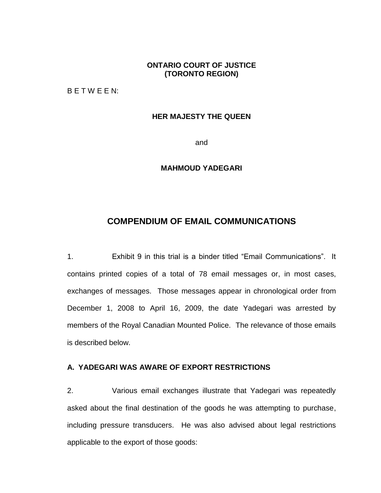# **ONTARIO COURT OF JUSTICE (TORONTO REGION)**

B E T W E E N:

### **HER MAJESTY THE QUEEN**

and

### **MAHMOUD YADEGARI**

# **COMPENDIUM OF EMAIL COMMUNICATIONS**

1. Exhibit 9 in this trial is a binder titled "Email Communications". It contains printed copies of a total of 78 email messages or, in most cases, exchanges of messages. Those messages appear in chronological order from December 1, 2008 to April 16, 2009, the date Yadegari was arrested by members of the Royal Canadian Mounted Police. The relevance of those emails is described below.

## **A. YADEGARI WAS AWARE OF EXPORT RESTRICTIONS**

2. Various email exchanges illustrate that Yadegari was repeatedly asked about the final destination of the goods he was attempting to purchase, including pressure transducers. He was also advised about legal restrictions applicable to the export of those goods: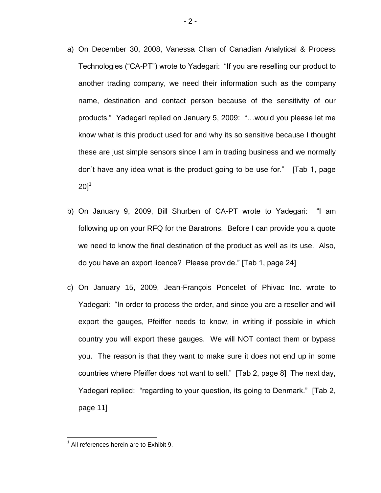- a) On December 30, 2008, Vanessa Chan of Canadian Analytical & Process Technologies ("CA-PT") wrote to Yadegari: "If you are reselling our product to another trading company, we need their information such as the company name, destination and contact person because of the sensitivity of our products." Yadegari replied on January 5, 2009: "…would you please let me know what is this product used for and why its so sensitive because I thought these are just simple sensors since I am in trading business and we normally don't have any idea what is the product going to be use for." [Tab 1, page  $201^1$
- b) On January 9, 2009, Bill Shurben of CA-PT wrote to Yadegari: "I am following up on your RFQ for the Baratrons. Before I can provide you a quote we need to know the final destination of the product as well as its use. Also, do you have an export licence? Please provide." [Tab 1, page 24]
- c) On January 15, 2009, Jean-François Poncelet of Phivac Inc. wrote to Yadegari: "In order to process the order, and since you are a reseller and will export the gauges, Pfeiffer needs to know, in writing if possible in which country you will export these gauges. We will NOT contact them or bypass you. The reason is that they want to make sure it does not end up in some countries where Pfeiffer does not want to sell." [Tab 2, page 8] The next day, Yadegari replied: "regarding to your question, its going to Denmark." [Tab 2, page 11]

 $\overline{a}$ 

 $1$  All references herein are to Exhibit 9.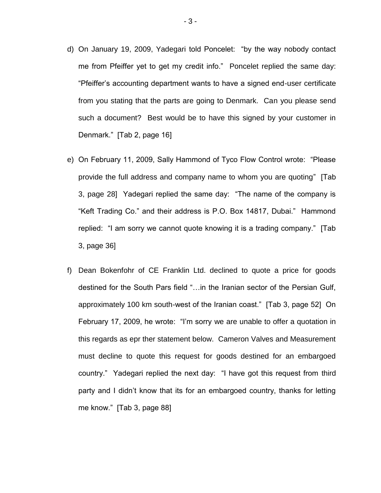- d) On January 19, 2009, Yadegari told Poncelet: "by the way nobody contact me from Pfeiffer yet to get my credit info." Poncelet replied the same day: "Pfeiffer's accounting department wants to have a signed end-user certificate from you stating that the parts are going to Denmark. Can you please send such a document? Best would be to have this signed by your customer in Denmark." [Tab 2, page 16]
- e) On February 11, 2009, Sally Hammond of Tyco Flow Control wrote: "Please provide the full address and company name to whom you are quoting" [Tab 3, page 28] Yadegari replied the same day: "The name of the company is "Keft Trading Co." and their address is P.O. Box 14817, Dubai." Hammond replied: "I am sorry we cannot quote knowing it is a trading company." [Tab 3, page 36]
- f) Dean Bokenfohr of CE Franklin Ltd. declined to quote a price for goods destined for the South Pars field "…in the Iranian sector of the Persian Gulf, approximately 100 km south-west of the Iranian coast." [Tab 3, page 52] On February 17, 2009, he wrote: "I'm sorry we are unable to offer a quotation in this regards as epr ther statement below. Cameron Valves and Measurement must decline to quote this request for goods destined for an embargoed country." Yadegari replied the next day: "I have got this request from third party and I didn't know that its for an embargoed country, thanks for letting me know." [Tab 3, page 88]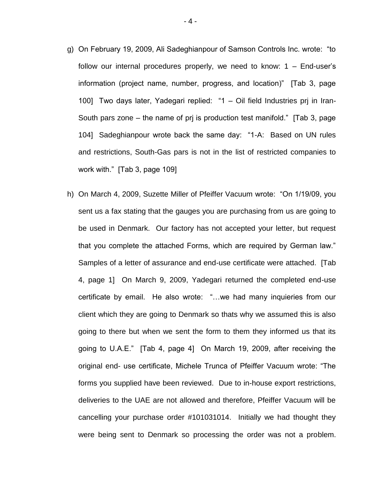- g) On February 19, 2009, Ali Sadeghianpour of Samson Controls Inc. wrote: "to follow our internal procedures properly, we need to know:  $1 -$  End-user's information (project name, number, progress, and location)" [Tab 3, page 100] Two days later, Yadegari replied: "1 – Oil field Industries prj in Iran-South pars zone – the name of prj is production test manifold." [Tab 3, page 104] Sadeghianpour wrote back the same day: "1-A: Based on UN rules and restrictions, South-Gas pars is not in the list of restricted companies to work with." [Tab 3, page 109]
- h) On March 4, 2009, Suzette Miller of Pfeiffer Vacuum wrote: "On 1/19/09, you sent us a fax stating that the gauges you are purchasing from us are going to be used in Denmark. Our factory has not accepted your letter, but request that you complete the attached Forms, which are required by German law." Samples of a letter of assurance and end-use certificate were attached. [Tab 4, page 1] On March 9, 2009, Yadegari returned the completed end-use certificate by email. He also wrote: "…we had many inquieries from our client which they are going to Denmark so thats why we assumed this is also going to there but when we sent the form to them they informed us that its going to U.A.E." [Tab 4, page 4] On March 19, 2009, after receiving the original end- use certificate, Michele Trunca of Pfeiffer Vacuum wrote: "The forms you supplied have been reviewed. Due to in-house export restrictions, deliveries to the UAE are not allowed and therefore, Pfeiffer Vacuum will be cancelling your purchase order #101031014. Initially we had thought they were being sent to Denmark so processing the order was not a problem.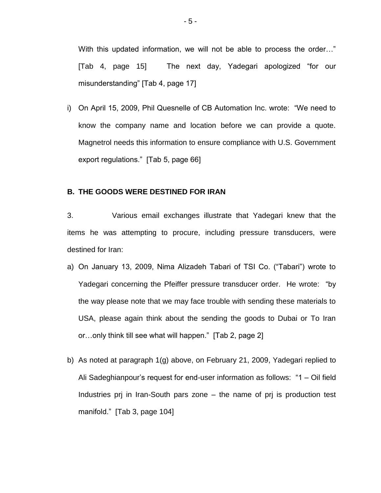With this updated information, we will not be able to process the order…" [Tab 4, page 15] The next day, Yadegari apologized "for our misunderstanding" [Tab 4, page 17]

i) On April 15, 2009, Phil Quesnelle of CB Automation Inc. wrote: "We need to know the company name and location before we can provide a quote. Magnetrol needs this information to ensure compliance with U.S. Government export regulations." [Tab 5, page 66]

## **B. THE GOODS WERE DESTINED FOR IRAN**

3. Various email exchanges illustrate that Yadegari knew that the items he was attempting to procure, including pressure transducers, were destined for Iran:

- a) On January 13, 2009, Nima Alizadeh Tabari of TSI Co. ("Tabari") wrote to Yadegari concerning the Pfeiffer pressure transducer order. He wrote: "by the way please note that we may face trouble with sending these materials to USA, please again think about the sending the goods to Dubai or To Iran or…only think till see what will happen." [Tab 2, page 2]
- b) As noted at paragraph 1(g) above, on February 21, 2009, Yadegari replied to Ali Sadeghianpour's request for end-user information as follows: "1 – Oil field Industries prj in Iran-South pars zone – the name of prj is production test manifold." [Tab 3, page 104]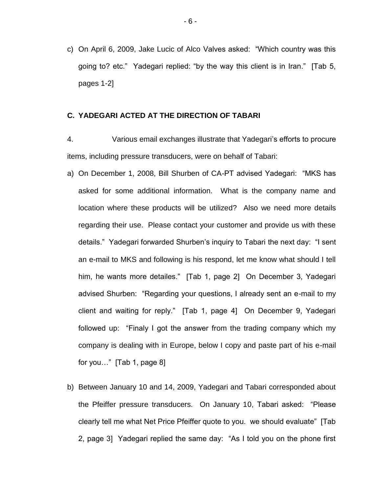c) On April 6, 2009, Jake Lucic of Alco Valves asked: "Which country was this going to? etc." Yadegari replied: "by the way this client is in Iran." [Tab 5, pages 1-2]

### **C. YADEGARI ACTED AT THE DIRECTION OF TABARI**

4. Various email exchanges illustrate that Yadegari's efforts to procure items, including pressure transducers, were on behalf of Tabari:

- a) On December 1, 2008, Bill Shurben of CA-PT advised Yadegari: "MKS has asked for some additional information. What is the company name and location where these products will be utilized? Also we need more details regarding their use. Please contact your customer and provide us with these details." Yadegari forwarded Shurben's inquiry to Tabari the next day: "I sent an e-mail to MKS and following is his respond, let me know what should I tell him, he wants more detailes." [Tab 1, page 2] On December 3, Yadegari advised Shurben: "Regarding your questions, I already sent an e-mail to my client and waiting for reply." [Tab 1, page 4] On December 9, Yadegari followed up: "Finaly I got the answer from the trading company which my company is dealing with in Europe, below I copy and paste part of his e-mail for you…" [Tab 1, page 8]
- b) Between January 10 and 14, 2009, Yadegari and Tabari corresponded about the Pfeiffer pressure transducers. On January 10, Tabari asked: "Please clearly tell me what Net Price Pfeiffer quote to you. we should evaluate" [Tab 2, page 3] Yadegari replied the same day: "As I told you on the phone first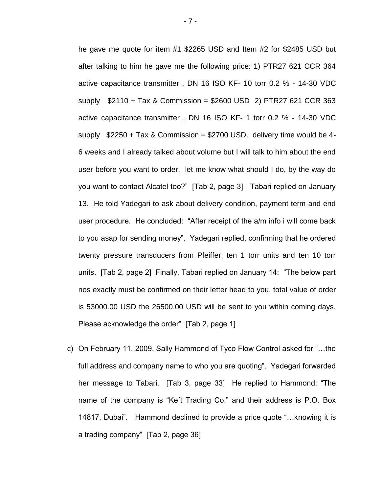he gave me quote for item #1 \$2265 USD and Item #2 for \$2485 USD but after talking to him he gave me the following price: 1) PTR27 621 CCR 364 active capacitance transmitter , DN 16 ISO KF- 10 torr 0.2 % - 14-30 VDC supply \$2110 + Tax & Commission = \$2600 USD 2) PTR27 621 CCR 363 active capacitance transmitter , DN 16 ISO KF- 1 torr 0.2 % - 14-30 VDC supply  $$2250 + Tax & Commission = $2700 USD.$  delivery time would be 4-6 weeks and I already talked about volume but I will talk to him about the end user before you want to order. let me know what should I do, by the way do you want to contact Alcatel too?" [Tab 2, page 3] Tabari replied on January 13. He told Yadegari to ask about delivery condition, payment term and end user procedure. He concluded: "After receipt of the a/m info i will come back to you asap for sending money". Yadegari replied, confirming that he ordered twenty pressure transducers from Pfeiffer, ten 1 torr units and ten 10 torr units. [Tab 2, page 2] Finally, Tabari replied on January 14: "The below part nos exactly must be confirmed on their letter head to you, total value of order is 53000.00 USD the 26500.00 USD will be sent to you within coming days. Please acknowledge the order" [Tab 2, page 1]

c) On February 11, 2009, Sally Hammond of Tyco Flow Control asked for "…the full address and company name to who you are quoting". Yadegari forwarded her message to Tabari. [Tab 3, page 33] He replied to Hammond: "The name of the company is "Keft Trading Co." and their address is P.O. Box 14817, Dubai". Hammond declined to provide a price quote "…knowing it is a trading company" [Tab 2, page 36]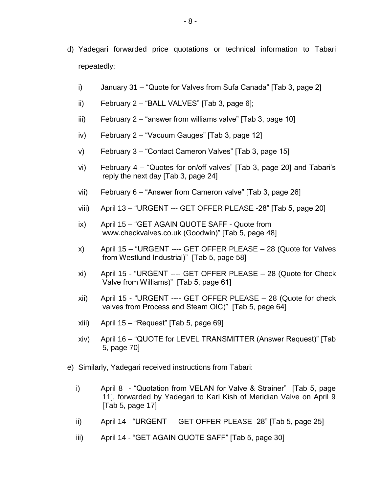- d) Yadegari forwarded price quotations or technical information to Tabari repeatedly:
	- i) January 31 "Quote for Valves from Sufa Canada" [Tab 3, page 2]
	- ii) February 2 "BALL VALVES" [Tab 3, page 6];
	- iii) February 2 "answer from williams valve" [Tab 3, page 10]
	- iv) February 2 "Vacuum Gauges" [Tab 3, page 12]
	- v) February 3 "Contact Cameron Valves" [Tab 3, page 15]
	- vi) February 4 "Quotes for on/off valves" [Tab 3, page 20] and Tabari's reply the next day [Tab 3, page 24]
	- vii) February 6 "Answer from Cameron valve" [Tab 3, page 26]
	- viii) April 13 "URGENT --- GET OFFER PLEASE -28" [Tab 5, page 20]
	- ix) April 15 "GET AGAIN QUOTE SAFF Quote from [www.checkvalves.co.uk](http://www.checkvalves.co.uk/) (Goodwin)" [Tab 5, page 48]
	- x) April 15 "URGENT ---- GET OFFER PLEASE 28 (Quote for Valves from Westlund Industrial)" [Tab 5, page 58]
	- xi) April 15 "URGENT ---- GET OFFER PLEASE 28 (Quote for Check Valve from Williams)" [Tab 5, page 61]
	- xii) April 15 "URGENT ---- GET OFFER PLEASE 28 (Quote for check valves from Process and Steam OIC)" [Tab 5, page 64]
	- xiii) April 15 "Request" [Tab 5, page 69]
	- xiv) April 16 "QUOTE for LEVEL TRANSMITTER (Answer Request)" [Tab 5, page 70]
- e) Similarly, Yadegari received instructions from Tabari:
	- i) April 8 "Quotation from VELAN for Valve & Strainer" [Tab 5, page 11], forwarded by Yadegari to Karl Kish of Meridian Valve on April 9 [Tab 5, page 17]
	- ii) April 14 "URGENT --- GET OFFER PLEASE -28" [Tab 5, page 25]
	- iii) April 14 "GET AGAIN QUOTE SAFF" [Tab 5, page 30]